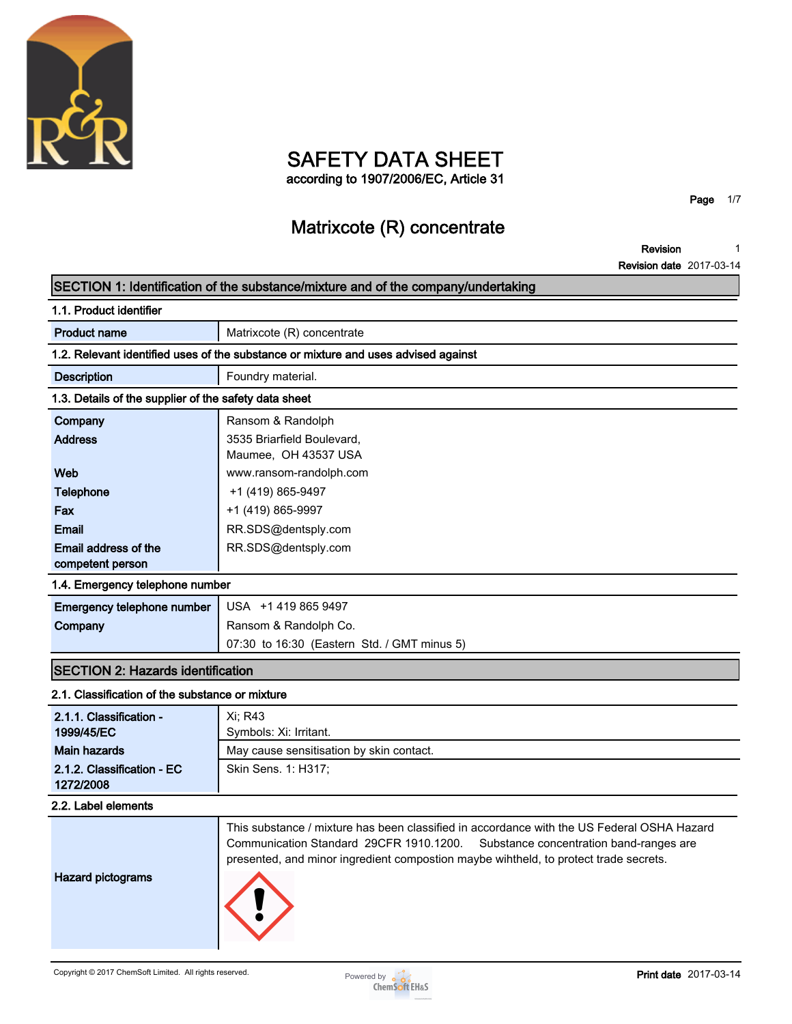

# **SAFETY DATA SHEET**

**according to 1907/2006/EC, Article 31**

**Page 1/7**

# **Matrixcote (R) concentrate**

**Revision 1**

**Revision date 2017-03-14**

|                                                       | SECTION 1: Identification of the substance/mixture and of the company/undertaking          |
|-------------------------------------------------------|--------------------------------------------------------------------------------------------|
| 1.1. Product identifier                               |                                                                                            |
| <b>Product name</b>                                   | Matrixcote (R) concentrate                                                                 |
|                                                       | 1.2. Relevant identified uses of the substance or mixture and uses advised against         |
| <b>Description</b>                                    | Foundry material.                                                                          |
| 1.3. Details of the supplier of the safety data sheet |                                                                                            |
| Company                                               | Ransom & Randolph                                                                          |
| <b>Address</b>                                        | 3535 Briarfield Boulevard,                                                                 |
|                                                       | Maumee, OH 43537 USA                                                                       |
| Web                                                   | www.ransom-randolph.com                                                                    |
| <b>Telephone</b>                                      | +1 (419) 865-9497                                                                          |
| Fax                                                   | +1 (419) 865-9997                                                                          |
| <b>Email</b>                                          | RR.SDS@dentsply.com                                                                        |
| Email address of the                                  | RR.SDS@dentsply.com                                                                        |
| competent person                                      |                                                                                            |
| 1.4. Emergency telephone number                       |                                                                                            |
| Emergency telephone number                            | USA +1 419 865 9497                                                                        |
| Company                                               | Ransom & Randolph Co.                                                                      |
|                                                       | 07:30 to 16:30 (Eastern Std. / GMT minus 5)                                                |
| <b>SECTION 2: Hazards identification</b>              |                                                                                            |
| 2.1. Classification of the substance or mixture       |                                                                                            |
| 2.1.1. Classification -                               | Xi: R43                                                                                    |
| 1999/45/EC                                            | Symbols: Xi: Irritant.                                                                     |
| <b>Main hazards</b>                                   | May cause sensitisation by skin contact.                                                   |
| 2.1.2. Classification - EC                            | Skin Sens. 1: H317;                                                                        |
| 1272/2008                                             |                                                                                            |
| 2.2. Label elements                                   |                                                                                            |
|                                                       | This substance / mixture has been classified in accordance with the US Federal OSHA Hazard |
|                                                       | Communication Standard 29CFR 1910.1200.<br>Substance concentration band-ranges are         |
|                                                       | presented, and minor ingredient compostion maybe wihtheld, to protect trade secrets.       |
| <b>Hazard pictograms</b>                              |                                                                                            |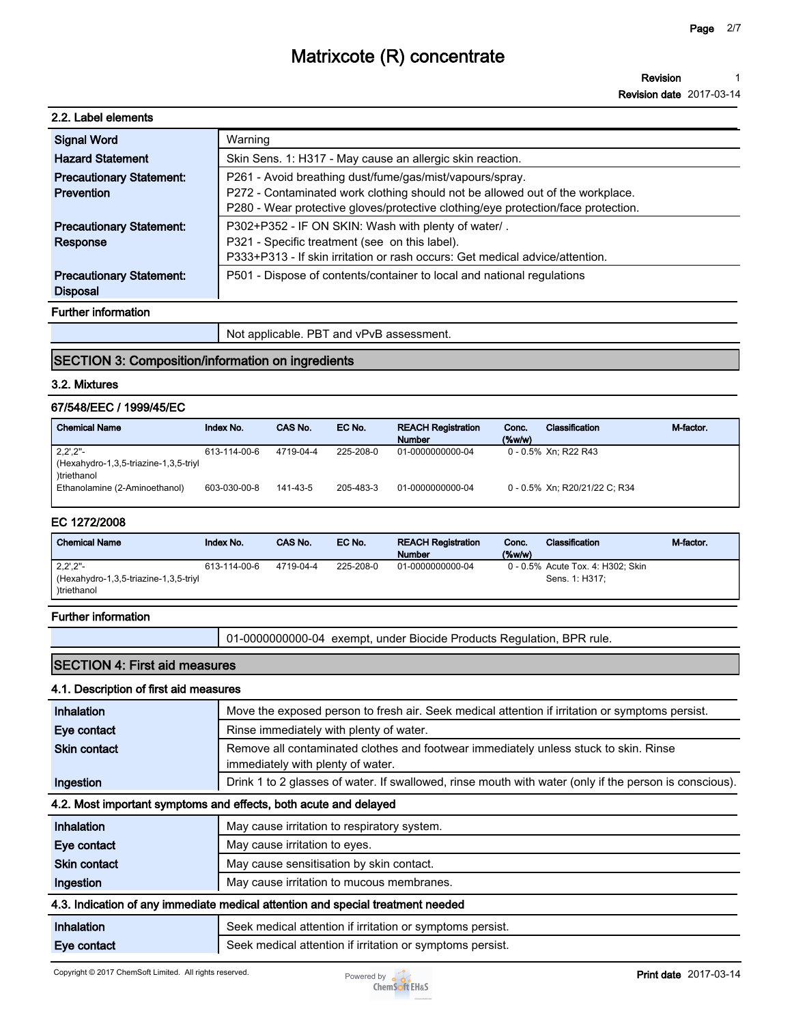#### **Revision 1**

**Revision date 2017-03-14**

### **2.2. Label elements**

| <b>Signal Word</b>              | Warning                                                                           |
|---------------------------------|-----------------------------------------------------------------------------------|
| <b>Hazard Statement</b>         | Skin Sens. 1: H317 - May cause an allergic skin reaction.                         |
| <b>Precautionary Statement:</b> | P261 - Avoid breathing dust/fume/gas/mist/vapours/spray.                          |
| Prevention                      | P272 - Contaminated work clothing should not be allowed out of the workplace.     |
|                                 | P280 - Wear protective gloves/protective clothing/eye protection/face protection. |
| <b>Precautionary Statement:</b> | P302+P352 - IF ON SKIN: Wash with plenty of water/.                               |
| Response                        | P321 - Specific treatment (see on this label).                                    |
|                                 | P333+P313 - If skin irritation or rash occurs: Get medical advice/attention.      |
| <b>Precautionary Statement:</b> | P501 - Dispose of contents/container to local and national regulations            |
| <b>Disposal</b>                 |                                                                                   |
| <b>Further information</b>      |                                                                                   |

**Further information**

**Not applicable. PBT and vPvB assessment.**

### **SECTION 3: Composition/information on ingredients**

#### **3.2. Mixtures**

### **67/548/EEC / 1999/45/EC**

| <b>Chemical Name</b>                                 | Index No.    | CAS No.   | EC No.    | <b>REACH Registration</b><br><b>Number</b> | Conc.<br>$(\%w/w)$ | Classification                | M-factor. |
|------------------------------------------------------|--------------|-----------|-----------|--------------------------------------------|--------------------|-------------------------------|-----------|
| $2,2^{\prime},2^{\prime\prime}$ -                    | 613-114-00-6 | 4719-04-4 | 225-208-0 | 01-0000000000-04                           |                    | 0 - 0.5% Xn; R22 R43          |           |
| (Hexahydro-1,3,5-triazine-1,3,5-triyl<br>)triethanol |              |           |           |                                            |                    |                               |           |
| Ethanolamine (2-Aminoethanol)                        | 603-030-00-8 | 141-43-5  | 205-483-3 | 01-0000000000-04                           |                    | 0 - 0.5% Xn: R20/21/22 C: R34 |           |

#### **EC 1272/2008**

| <b>Chemical Name</b>                  | Index No.    | CAS No.   | EC No.    | <b>REACH Registration</b><br><b>Number</b> | Conc.<br>$(\%w/w)$ | Classification                    | M-factor. |
|---------------------------------------|--------------|-----------|-----------|--------------------------------------------|--------------------|-----------------------------------|-----------|
| $2,2^{\prime},2^{\prime\prime}$ -     | 613-114-00-6 | 4719-04-4 | 225-208-0 | 01-0000000000-04                           |                    | 0 - 0.5% Acute Tox. 4: H302; Skin |           |
| (Hexahydro-1,3,5-triazine-1,3,5-triyl |              |           |           |                                            |                    | Sens. 1: H317:                    |           |
| )triethanol                           |              |           |           |                                            |                    |                                   |           |

### **Further information**

**01-0000000000-04 exempt, under Biocide Products Regulation, BPR rule.**

## **SECTION 4: First aid measures**

### **4.1. Description of first aid measures**

| Inhalation          | Move the exposed person to fresh air. Seek medical attention if irritation or symptoms persist.                           |
|---------------------|---------------------------------------------------------------------------------------------------------------------------|
| Eye contact         | Rinse immediately with plenty of water.                                                                                   |
| <b>Skin contact</b> | Remove all contaminated clothes and footwear immediately unless stuck to skin. Rinse<br>immediately with plenty of water. |
| Ingestion           | Drink 1 to 2 glasses of water. If swallowed, rinse mouth with water (only if the person is conscious).                    |
|                     | 4.2. Most important symptoms and effects, both acute and delayed                                                          |
| <b>Inhalation</b>   | May cause irritation to respiratory system.                                                                               |
| Eye contact         | May cause irritation to eyes.                                                                                             |
| <b>Skin contact</b> | May cause sensitisation by skin contact.                                                                                  |
| Ingestion           | May cause irritation to mucous membranes.                                                                                 |
|                     | 4.3. Indication of any immediate medical attention and special treatment needed                                           |
| Inhalation          | Seek medical attention if irritation or symptoms persist.                                                                 |
| Eye contact         | Seek medical attention if irritation or symptoms persist.                                                                 |

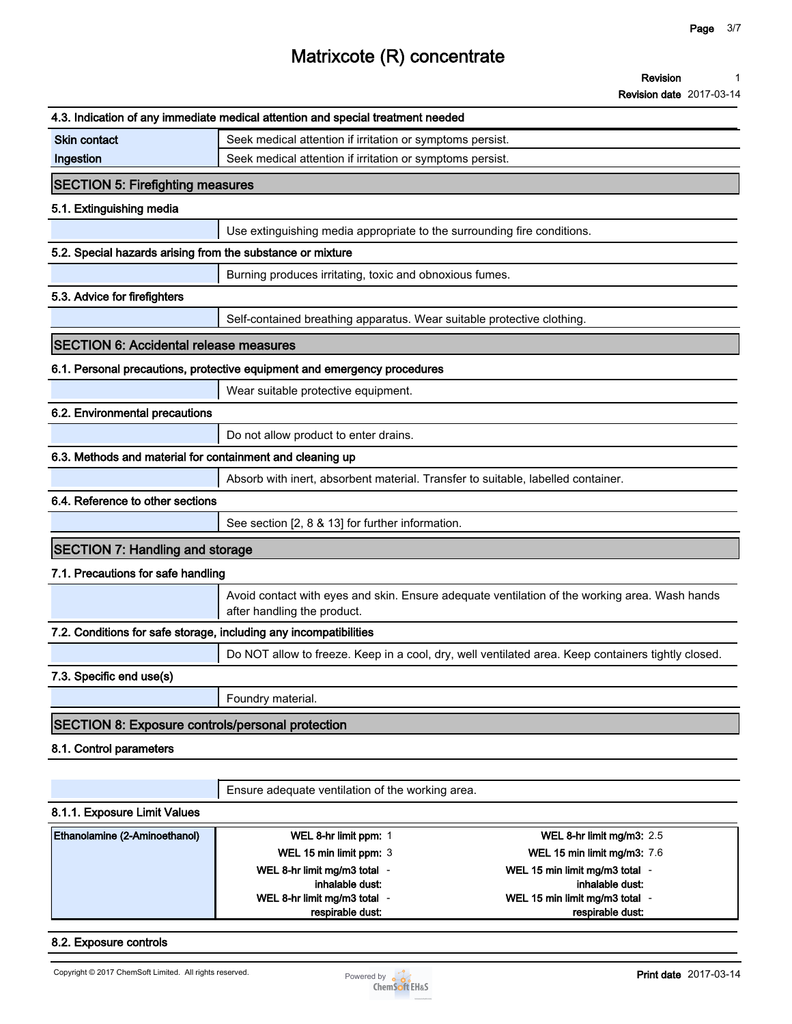**Revision 1**

**Revision date 2017-03-14**

|                                                                   | 4.3. Indication of any immediate medical attention and special treatment needed  |                                                                                                    |  |  |  |
|-------------------------------------------------------------------|----------------------------------------------------------------------------------|----------------------------------------------------------------------------------------------------|--|--|--|
| <b>Skin contact</b>                                               | Seek medical attention if irritation or symptoms persist.                        |                                                                                                    |  |  |  |
| Ingestion                                                         | Seek medical attention if irritation or symptoms persist.                        |                                                                                                    |  |  |  |
| <b>SECTION 5: Firefighting measures</b>                           |                                                                                  |                                                                                                    |  |  |  |
| 5.1. Extinguishing media                                          |                                                                                  |                                                                                                    |  |  |  |
|                                                                   | Use extinguishing media appropriate to the surrounding fire conditions.          |                                                                                                    |  |  |  |
| 5.2. Special hazards arising from the substance or mixture        |                                                                                  |                                                                                                    |  |  |  |
|                                                                   | Burning produces irritating, toxic and obnoxious fumes.                          |                                                                                                    |  |  |  |
| 5.3. Advice for firefighters                                      |                                                                                  |                                                                                                    |  |  |  |
|                                                                   | Self-contained breathing apparatus. Wear suitable protective clothing.           |                                                                                                    |  |  |  |
| <b>SECTION 6: Accidental release measures</b>                     |                                                                                  |                                                                                                    |  |  |  |
|                                                                   | 6.1. Personal precautions, protective equipment and emergency procedures         |                                                                                                    |  |  |  |
|                                                                   | Wear suitable protective equipment.                                              |                                                                                                    |  |  |  |
| 6.2. Environmental precautions                                    |                                                                                  |                                                                                                    |  |  |  |
|                                                                   | Do not allow product to enter drains.                                            |                                                                                                    |  |  |  |
| 6.3. Methods and material for containment and cleaning up         |                                                                                  |                                                                                                    |  |  |  |
|                                                                   | Absorb with inert, absorbent material. Transfer to suitable, labelled container. |                                                                                                    |  |  |  |
| 6.4. Reference to other sections                                  |                                                                                  |                                                                                                    |  |  |  |
|                                                                   | See section [2, 8 & 13] for further information.                                 |                                                                                                    |  |  |  |
| <b>SECTION 7: Handling and storage</b>                            |                                                                                  |                                                                                                    |  |  |  |
| 7.1. Precautions for safe handling                                |                                                                                  |                                                                                                    |  |  |  |
|                                                                   | after handling the product.                                                      | Avoid contact with eyes and skin. Ensure adequate ventilation of the working area. Wash hands      |  |  |  |
| 7.2. Conditions for safe storage, including any incompatibilities |                                                                                  |                                                                                                    |  |  |  |
|                                                                   |                                                                                  | Do NOT allow to freeze. Keep in a cool, dry, well ventilated area. Keep containers tightly closed. |  |  |  |
| 7.3. Specific end use(s)                                          |                                                                                  |                                                                                                    |  |  |  |
|                                                                   | Foundry material.                                                                |                                                                                                    |  |  |  |
| <b>SECTION 8: Exposure controls/personal protection</b>           |                                                                                  |                                                                                                    |  |  |  |
| 8.1. Control parameters                                           |                                                                                  |                                                                                                    |  |  |  |
|                                                                   |                                                                                  |                                                                                                    |  |  |  |
|                                                                   | Ensure adequate ventilation of the working area.                                 |                                                                                                    |  |  |  |
| 8.1.1. Exposure Limit Values                                      |                                                                                  |                                                                                                    |  |  |  |
| Ethanolamine (2-Aminoethanol)                                     | WEL 8-hr limit ppm: 1                                                            | WEL 8-hr limit mg/m3: 2.5                                                                          |  |  |  |
|                                                                   | WEL 15 min limit ppm: 3                                                          | <b>WEL 15 min limit mg/m3: 7.6</b>                                                                 |  |  |  |
|                                                                   | WEL 8-hr limit mg/m3 total -                                                     | WEL 15 min limit mg/m3 total -                                                                     |  |  |  |
|                                                                   | inhalable dust:<br>WEL 8-hr limit mg/m3 total -                                  | inhalable dust:<br>WEL 15 min limit mg/m3 total -                                                  |  |  |  |
|                                                                   | respirable dust:                                                                 | respirable dust:                                                                                   |  |  |  |

#### **8.2. Exposure controls**

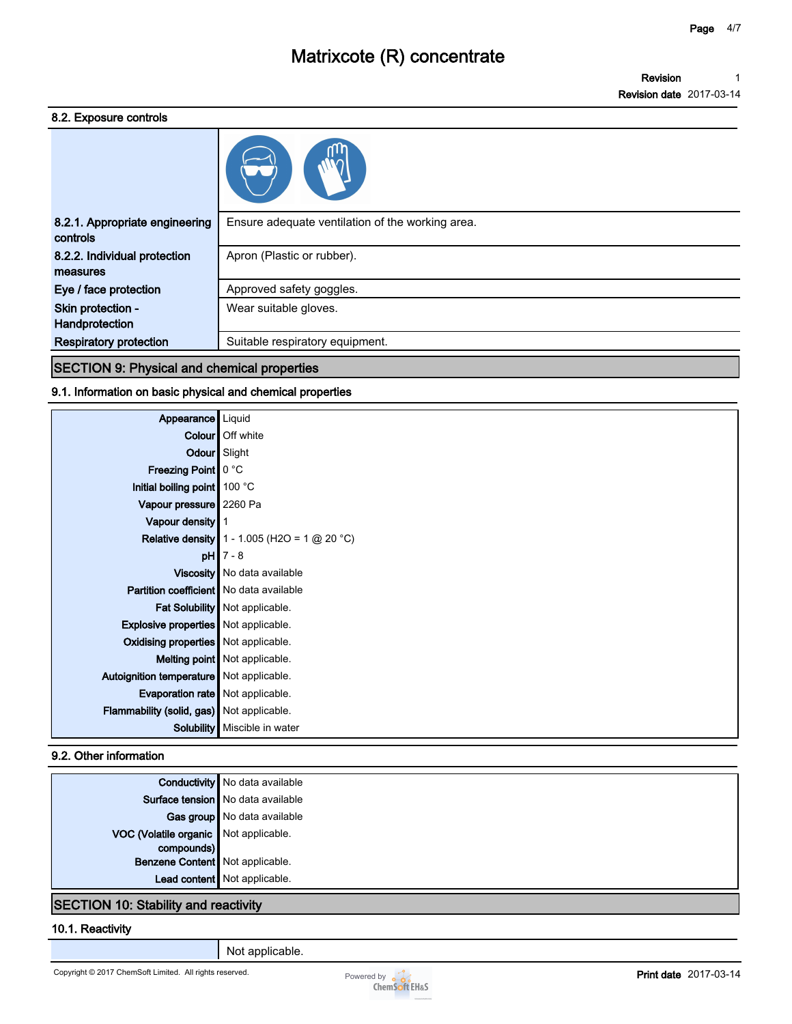**Revision 1**

**Revision date 2017-03-14**

### **8.2. Exposure controls**

| 8.2.1. Appropriate engineering<br>controls | Ensure adequate ventilation of the working area. |
|--------------------------------------------|--------------------------------------------------|
| 8.2.2. Individual protection<br>measures   | Apron (Plastic or rubber).                       |
| Eye / face protection                      | Approved safety goggles.                         |
| Skin protection -<br>Handprotection        | Wear suitable gloves.                            |
| <b>Respiratory protection</b>              | Suitable respiratory equipment.                  |

## **SECTION 9: Physical and chemical properties**

### **9.1. Information on basic physical and chemical properties**

| Appearance                                  | Liquid                                                |
|---------------------------------------------|-------------------------------------------------------|
|                                             | <b>Colour</b> Off white                               |
| Odour                                       | Slight                                                |
| <b>Freezing Point   0 °C</b>                |                                                       |
| Initial boiling point 100 °C                |                                                       |
| Vapour pressure   2260 Pa                   |                                                       |
| Vapour density                              |                                                       |
|                                             | <b>Relative density</b> $1 - 1.005$ (H2O = 1 @ 20 °C) |
|                                             | $pH$ 7 - 8                                            |
|                                             | Viscosity   No data available                         |
| Partition coefficient   No data available   |                                                       |
|                                             | Fat Solubility   Not applicable.                      |
| <b>Explosive properties</b> Not applicable. |                                                       |
| Oxidising properties   Not applicable.      |                                                       |
|                                             | Melting point Not applicable.                         |
| Autoignition temperature   Not applicable.  |                                                       |
| Evaporation rate   Not applicable.          |                                                       |
| Flammability (solid, gas) Not applicable.   |                                                       |
|                                             | <b>Solubility</b>   Miscible in water                 |

### **9.2. Other information**

|                                       | <b>Conductivity</b> No data available |
|---------------------------------------|---------------------------------------|
|                                       | Surface tension No data available     |
|                                       | Gas group   No data available         |
| VOC (Volatile organic Not applicable. |                                       |
| compounds)                            |                                       |
| Benzene Content   Not applicable.     |                                       |
|                                       | Lead content Not applicable.          |
|                                       |                                       |

### **SECTION 10: Stability and reactivity**

#### **10.1. Reactivity**

**Not applicable.**

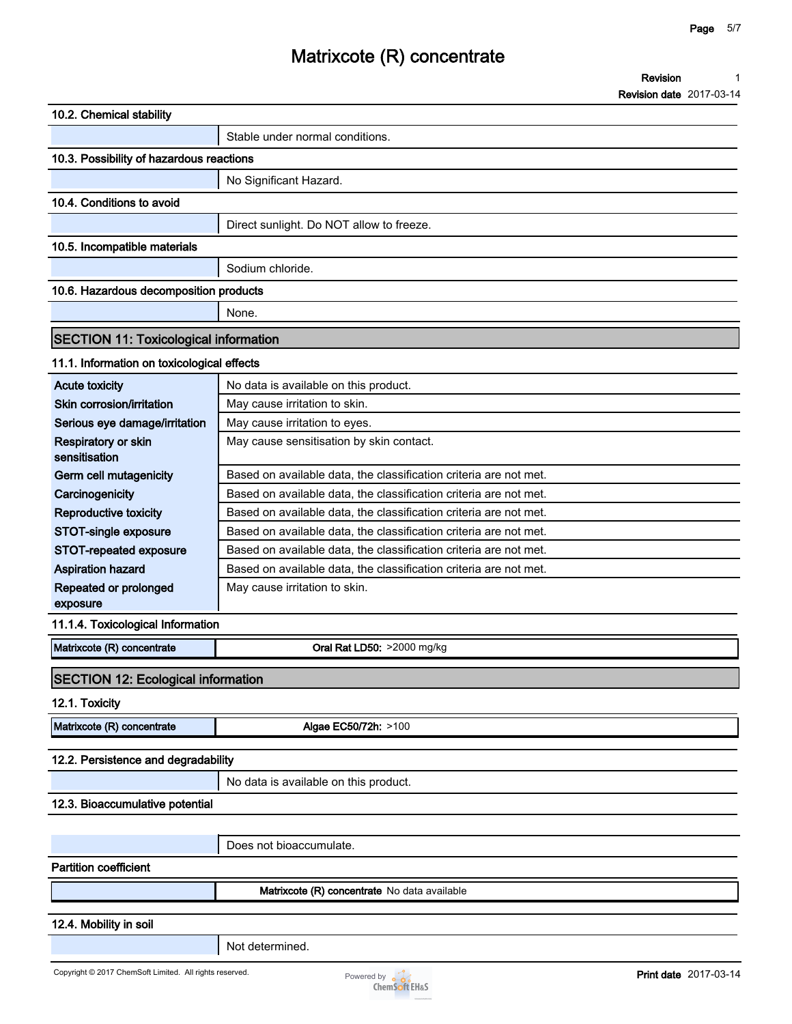#### **Revision 1**

**Revision date 2017-03-14**

| 10.2. Chemical stability                                |                                                                   |                              |
|---------------------------------------------------------|-------------------------------------------------------------------|------------------------------|
|                                                         | Stable under normal conditions.                                   |                              |
| 10.3. Possibility of hazardous reactions                |                                                                   |                              |
|                                                         | No Significant Hazard.                                            |                              |
| 10.4. Conditions to avoid                               |                                                                   |                              |
|                                                         | Direct sunlight. Do NOT allow to freeze.                          |                              |
| 10.5. Incompatible materials                            |                                                                   |                              |
|                                                         |                                                                   |                              |
|                                                         | Sodium chloride.                                                  |                              |
| 10.6. Hazardous decomposition products                  |                                                                   |                              |
|                                                         | None.                                                             |                              |
| <b>SECTION 11: Toxicological information</b>            |                                                                   |                              |
| 11.1. Information on toxicological effects              |                                                                   |                              |
| <b>Acute toxicity</b>                                   | No data is available on this product.                             |                              |
| Skin corrosion/irritation                               | May cause irritation to skin.                                     |                              |
| Serious eye damage/irritation                           | May cause irritation to eyes.                                     |                              |
| Respiratory or skin                                     | May cause sensitisation by skin contact.                          |                              |
| sensitisation                                           |                                                                   |                              |
| Germ cell mutagenicity                                  | Based on available data, the classification criteria are not met. |                              |
| Carcinogenicity                                         | Based on available data, the classification criteria are not met. |                              |
| Reproductive toxicity                                   | Based on available data, the classification criteria are not met. |                              |
| STOT-single exposure                                    | Based on available data, the classification criteria are not met. |                              |
| STOT-repeated exposure                                  | Based on available data, the classification criteria are not met. |                              |
| <b>Aspiration hazard</b>                                | Based on available data, the classification criteria are not met. |                              |
| Repeated or prolonged<br>exposure                       | May cause irritation to skin.                                     |                              |
| 11.1.4. Toxicological Information                       |                                                                   |                              |
| Matrixcote (R) concentrate                              | Oral Rat LD50: >2000 mg/kg                                        |                              |
|                                                         |                                                                   |                              |
| <b>SECTION 12: Ecological information</b>               |                                                                   |                              |
| 12.1. Toxicity                                          |                                                                   |                              |
| Matrixcote (R) concentrate                              | Algae EC50/72h: >100                                              |                              |
| 12.2. Persistence and degradability                     |                                                                   |                              |
|                                                         |                                                                   |                              |
|                                                         | No data is available on this product.                             |                              |
| 12.3. Bioaccumulative potential                         |                                                                   |                              |
|                                                         | Does not bioaccumulate.                                           |                              |
|                                                         |                                                                   |                              |
| <b>Partition coefficient</b>                            |                                                                   |                              |
|                                                         | Matrixcote (R) concentrate No data available                      |                              |
| 12.4. Mobility in soil                                  |                                                                   |                              |
|                                                         | Not determined.                                                   |                              |
|                                                         |                                                                   |                              |
| Copyright © 2017 ChemSoft Limited. All rights reserved. | Powered by $\bullet$ $\bullet$                                    | <b>Print date</b> 2017-03-14 |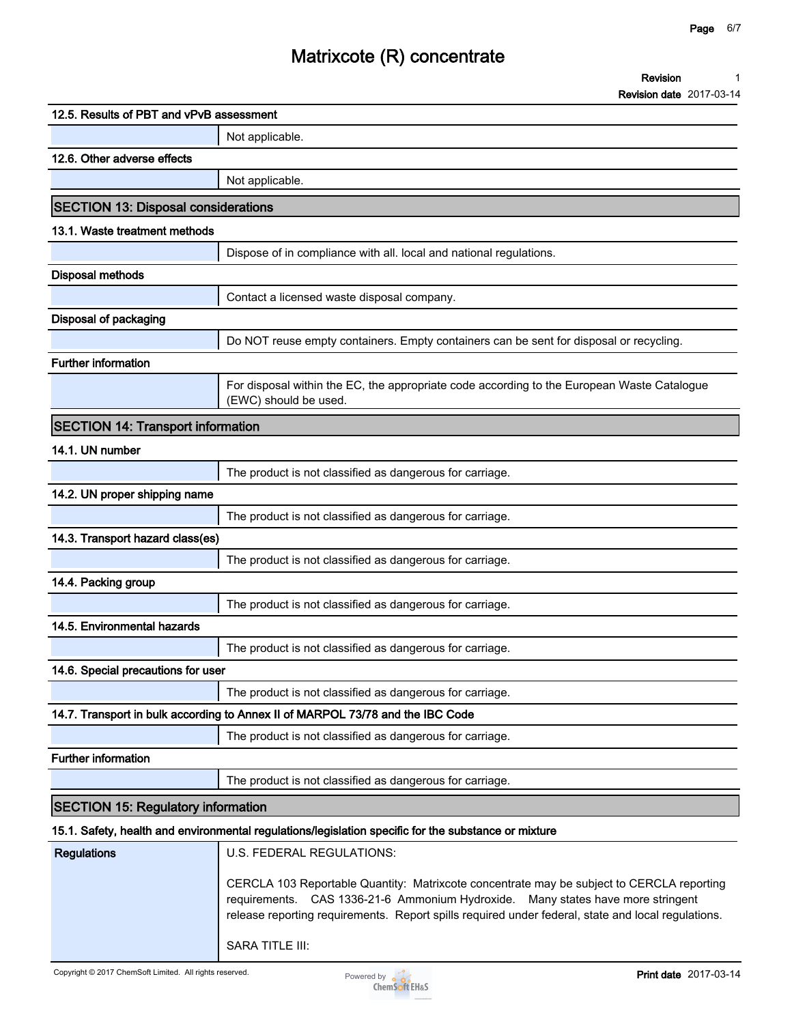**Revision date 2017-03-14**

| 12.5. Results of PBT and vPvB assessment   |                                                                                                                                                                                                                                                                                    |
|--------------------------------------------|------------------------------------------------------------------------------------------------------------------------------------------------------------------------------------------------------------------------------------------------------------------------------------|
|                                            | Not applicable.                                                                                                                                                                                                                                                                    |
| 12.6. Other adverse effects                |                                                                                                                                                                                                                                                                                    |
|                                            | Not applicable.                                                                                                                                                                                                                                                                    |
| <b>SECTION 13: Disposal considerations</b> |                                                                                                                                                                                                                                                                                    |
| 13.1. Waste treatment methods              |                                                                                                                                                                                                                                                                                    |
|                                            | Dispose of in compliance with all. local and national regulations.                                                                                                                                                                                                                 |
| <b>Disposal methods</b>                    |                                                                                                                                                                                                                                                                                    |
|                                            | Contact a licensed waste disposal company.                                                                                                                                                                                                                                         |
| Disposal of packaging                      |                                                                                                                                                                                                                                                                                    |
|                                            | Do NOT reuse empty containers. Empty containers can be sent for disposal or recycling.                                                                                                                                                                                             |
| Further information                        |                                                                                                                                                                                                                                                                                    |
|                                            | For disposal within the EC, the appropriate code according to the European Waste Catalogue<br>(EWC) should be used.                                                                                                                                                                |
| <b>SECTION 14: Transport information</b>   |                                                                                                                                                                                                                                                                                    |
| 14.1. UN number                            |                                                                                                                                                                                                                                                                                    |
|                                            | The product is not classified as dangerous for carriage.                                                                                                                                                                                                                           |
| 14.2. UN proper shipping name              |                                                                                                                                                                                                                                                                                    |
|                                            | The product is not classified as dangerous for carriage.                                                                                                                                                                                                                           |
| 14.3. Transport hazard class(es)           |                                                                                                                                                                                                                                                                                    |
|                                            | The product is not classified as dangerous for carriage.                                                                                                                                                                                                                           |
| 14.4. Packing group                        |                                                                                                                                                                                                                                                                                    |
|                                            | The product is not classified as dangerous for carriage.                                                                                                                                                                                                                           |
| 14.5. Environmental hazards                |                                                                                                                                                                                                                                                                                    |
|                                            | The product is not classified as dangerous for carriage.                                                                                                                                                                                                                           |
| 14.6. Special precautions for user         |                                                                                                                                                                                                                                                                                    |
|                                            | The product is not classified as dangerous for carriage.                                                                                                                                                                                                                           |
|                                            | 14.7. Transport in bulk according to Annex II of MARPOL 73/78 and the IBC Code                                                                                                                                                                                                     |
|                                            | The product is not classified as dangerous for carriage.                                                                                                                                                                                                                           |
| <b>Further information</b>                 |                                                                                                                                                                                                                                                                                    |
|                                            | The product is not classified as dangerous for carriage.                                                                                                                                                                                                                           |
| <b>SECTION 15: Regulatory information</b>  |                                                                                                                                                                                                                                                                                    |
|                                            | 15.1. Safety, health and environmental regulations/legislation specific for the substance or mixture                                                                                                                                                                               |
| <b>Regulations</b>                         | U.S. FEDERAL REGULATIONS:                                                                                                                                                                                                                                                          |
|                                            | CERCLA 103 Reportable Quantity: Matrixcote concentrate may be subject to CERCLA reporting<br>requirements. CAS 1336-21-6 Ammonium Hydroxide. Many states have more stringent<br>release reporting requirements. Report spills required under federal, state and local regulations. |
|                                            | SARA TITLE III:                                                                                                                                                                                                                                                                    |